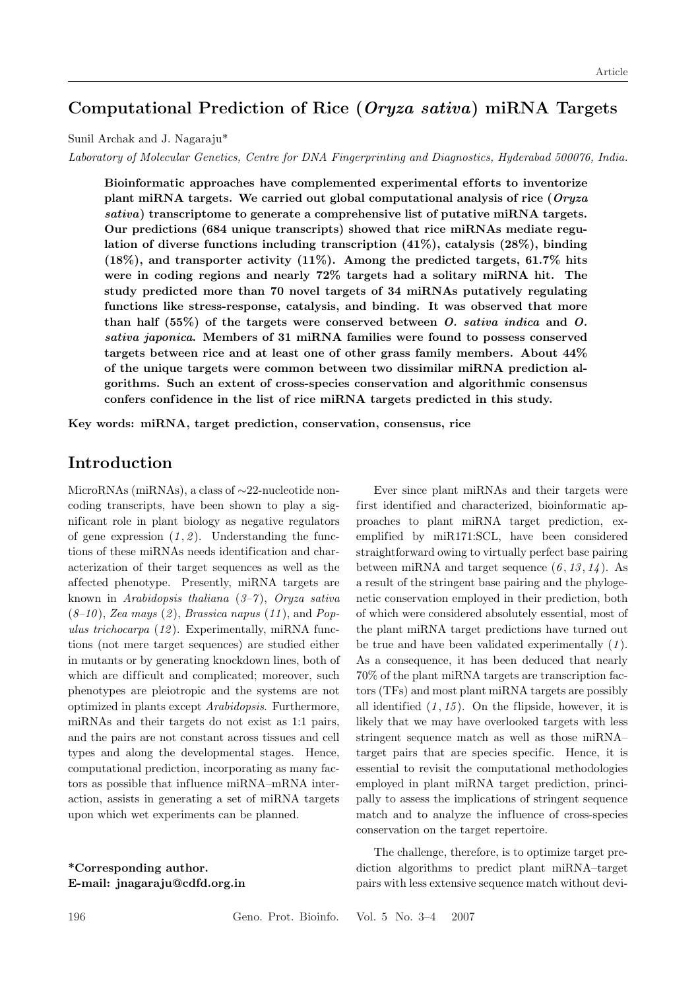## **Computational Prediction of Rice (***Oryza sativa***) miRNA Targets**

Sunil Archak and J. Nagaraju\*

*Laboratory of Molecular Genetics, Centre for DNA Fingerprinting and Diagnostics, Hyderabad 500076, India.*

**Bioinformatic approaches have complemented experimental ef forts to inventorize plant miRNA targets. We carried out global computational analysis of rice (***Oryza sativa***) transcriptome to generate a comprehensive list of putative miRNA targets. Our predictions (684 unique transcripts) showed that rice miRNAs mediate regulation of diverse functions including transcription (41%), catalysis (28%), binding (18%), and transporter activity (11%). Among the predicted targets, 61.7% hits were in coding regions and nearly 72% targets had a solitary miRNA hit. The study predicted more than 70 novel targets of 34 miRNAs putatively regulating functions like stress-response, catalysis, and binding. It was observed that more than half (55%) of the targets were conserved between** *O. sativa indica* **and** *O. sativa japonica***. Members of 31 miRNA families were found to possess conserved targets between rice and at least one of other grass family members. About 44% of the unique targets were common between two dissimilar miRNA prediction algorithms. Such an extent of cross-species conservation and algorithmic consensus** confers confidence in the list of rice miRNA targets predicted in this study.

**Key words: miRNA, target prediction, conservation, consensus, rice**

## **Introduction**

MicroRNAs (miRNAs), a class of ∼22-nucleotide noncoding transcripts, have been shown to play a significant role in plant biology as negative regulators of gene expression  $(1, 2)$ . Understanding the functions of these miRNAs needs identification and characterization of their target sequences as well as the af fected phenotype. Presently, miRNA targets are known in *Arabidopsis thaliana* (*3–7* ), *Oryza sativa* (*8–10* ), *Zea mays* (*2* ), *Brassica napus* (*11* ), and *Populus trichocarpa* (*12* ). Experimentally, miRNA functions (not mere target sequences) are studied either in mutants or by generating knockdown lines, both of which are difficult and complicated; moreover, such phenotypes are pleiotropic and the systems are not optimized in plants except *Arabidopsis*. Furthermore, miRNAs and their targets do not exist as 1:1 pairs, and the pairs are not constant across tissues and cell types and along the developmental stages. Hence, computational prediction, incorporating as many factors as possible that influence miRNA–mRNA interaction, assists in generating a set of miRNA targets upon which wet experiments can be planned.

**\*Corresponding author. E-mail: jnagaraju@cdfd.org.in**

Ever since plant miRNAs and their targets were first identified and characterized, bioinformatic approaches to plant miRNA target prediction, exemplified by miR171:SCL, have been considered straightforward owing to virtually perfect base pairing between miRNA and target sequence  $(6, 13, 14)$ . As a result of the stringent base pairing and the phylogenetic conservation employed in their prediction, both of which were considered absolutely essential, most of the plant miRNA target predictions have turned out be true and have been validated experimentally (*1* ). As a consequence, it has been deduced that nearly 70% of the plant miRNA targets are transcription factors (TFs) and most plant miRNA targets are possibly all identified  $(1, 15)$ . On the flipside, however, it is likely that we may have overlooked targets with less stringent sequence match as well as those miRNA– target pairs that are species specific. Hence, it is essential to revisit the computational methodologies employed in plant miRNA target prediction, principally to assess the implications of stringent sequence match and to analyze the influence of cross-species conservation on the target repertoire.

The challenge, therefore, is to optimize target prediction algorithms to predict plant miRNA–target pairs with less extensive sequence match without devi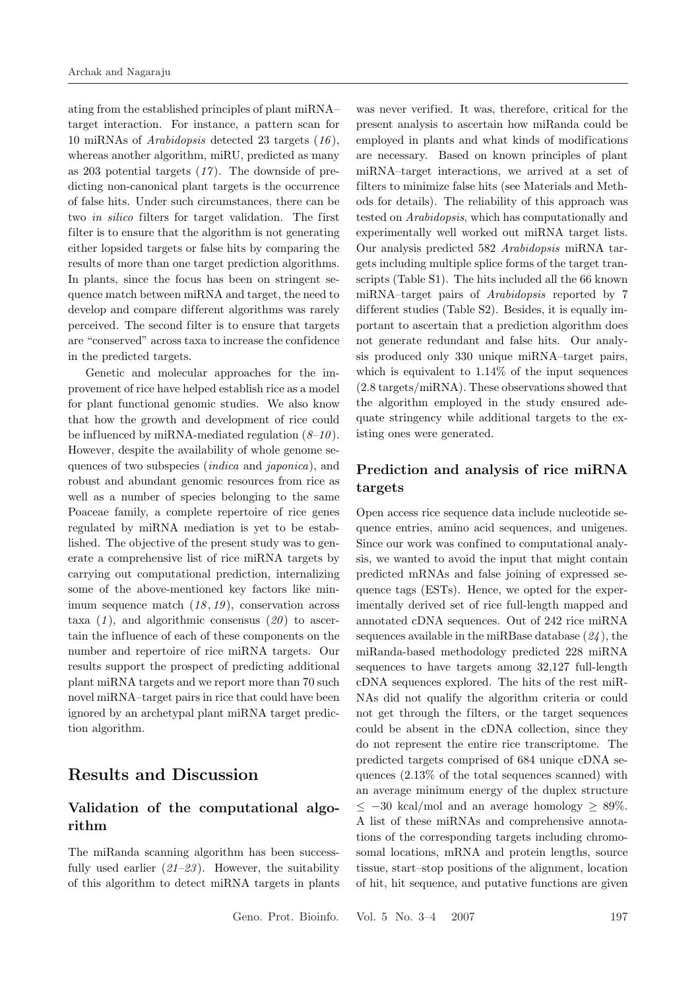ating from the established principles of plant miRNA– target interaction. For instance, a pattern scan for 10 miRNAs of *Arabidopsis* detected 23 targets (*16* ), whereas another algorithm, miRU, predicted as many as 203 potential targets (*17* ). The downside of predicting non-canonical plant targets is the occurrence of false hits. Under such circumstances, there can be two *in silico* filters for target validation. The first filter is to ensure that the algorithm is not generating either lopsided targets or false hits by comparing the results of more than one target prediction algorithms. In plants, since the focus has been on stringent sequence match between miRNA and target, the need to develop and compare different algorithms was rarely perceived. The second filter is to ensure that targets are "conserved" across taxa to increase the confidence in the predicted targets.

Genetic and molecular approaches for the improvement of rice have helped establish rice as a model for plant functional genomic studies. We also know that how the growth and development of rice could be influenced by miRNA-mediated regulation (*8–10* ). However, despite the availability of whole genome sequences of two subspecies (*indica* and *japonica*), and robust and abundant genomic resources from rice as well as a number of species belonging to the same Poaceae family, a complete repertoire of rice genes regulated by miRNA mediation is yet to be established. The objective of the present study was to generate a comprehensive list of rice miRNA targets by carrying out computational prediction, internalizing some of the above-mentioned key factors like minimum sequence match (*18* , *19* ), conservation across taxa  $(1)$ , and algorithmic consensus  $(20)$  to ascertain the influence of each of these components on the number and repertoire of rice miRNA targets. Our results support the prospect of predicting additional plant miRNA targets and we report more than 70 such novel miRNA–target pairs in rice that could have been ignored by an archetypal plant miRNA target prediction algorithm.

## **Results and Discussion**

## **Validation of the computational algorithm**

The miRanda scanning algorithm has been successfully used earlier (*21–23* ). However, the suitability of this algorithm to detect miRNA targets in plants

was never verified. It was, therefore, critical for the present analysis to ascertain how miRanda could be employed in plants and what kinds of modifications are necessary. Based on known principles of plant miRNA–target interactions, we arrived at a set of filters to minimize false hits (see Materials and Methods for details). The reliability of this approach was tested on *Arabidopsis*, which has computationally and experimentally well worked out miRNA target lists. Our analysis predicted 582 *Arabidopsis* miRNA targets including multiple splice forms of the target transcripts (Table S1). The hits included all the 66 known miRNA–target pairs of *Arabidopsis* reported by 7 different studies (Table S2). Besides, it is equally important to ascertain that a prediction algorithm does not generate redundant and false hits. Our analysis produced only 330 unique miRNA–target pairs, which is equivalent to 1.14% of the input sequences (2.8 targets/miRNA). These observations showed that the algorithm employed in the study ensured adequate stringency while additional targets to the existing ones were generated.

## **Prediction and analysis of rice miRNA targets**

Open access rice sequence data include nucleotide sequence entries, amino acid sequences, and unigenes. Since our work was confined to computational analysis, we wanted to avoid the input that might contain predicted mRNAs and false joining of expressed sequence tags (ESTs). Hence, we opted for the experimentally derived set of rice full-length mapped and annotated cDNA sequences. Out of 242 rice miRNA sequences available in the miRBase database (*24* ), the miRanda-based methodology predicted 228 miRNA sequences to have targets among 32,127 full-length cDNA sequences explored. The hits of the rest miR-NAs did not qualify the algorithm criteria or could not get through the filters, or the target sequences could be absent in the cDNA collection, since they do not represent the entire rice transcriptome. The predicted targets comprised of 684 unique cDNA sequences (2.13% of the total sequences scanned) with an average minimum energy of the duplex structure  $\langle -30 \text{ kcal/mol and an average homology} \rangle$  89%. A list of these miRNAs and comprehensive annotations of the corresponding targets including chromosomal locations, mRNA and protein lengths, source tissue, start–stop positions of the alignment, location of hit, hit sequence, and putative functions are given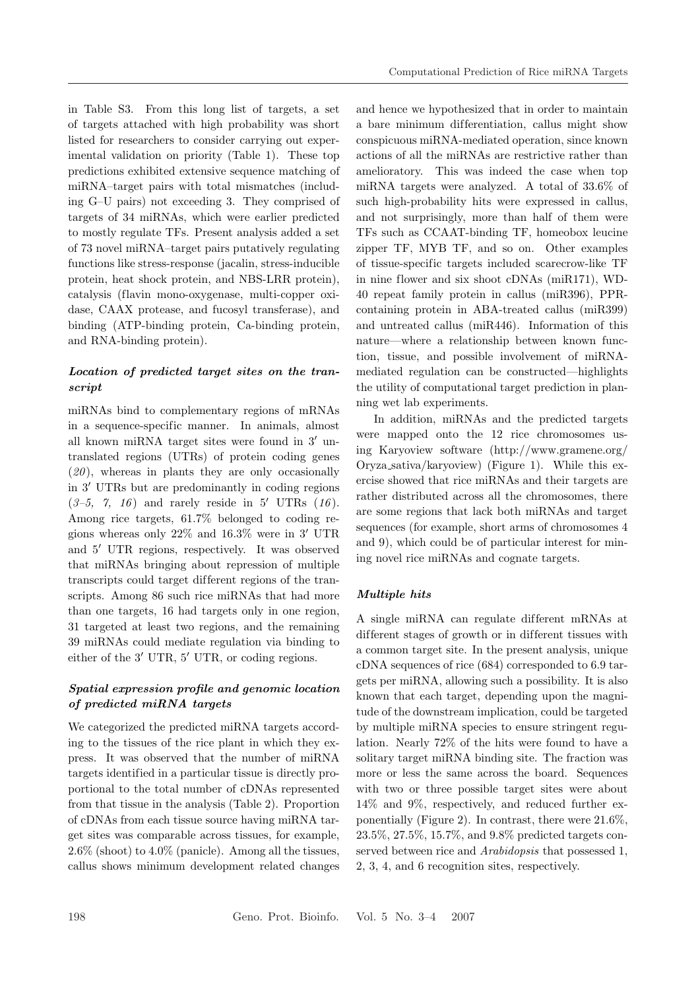in Table S3. From this long list of targets, a set of targets attached with high probability was short listed for researchers to consider carrying out experimental validation on priority (Table 1). These top predictions exhibited extensive sequence matching of miRNA–target pairs with total mismatches (including G–U pairs) not exceeding 3. They comprised of targets of 34 miRNAs, which were earlier predicted to mostly regulate TFs. Present analysis added a set of 73 novel miRNA–target pairs putatively regulating functions like stress-response (jacalin, stress-inducible protein, heat shock protein, and NBS-LRR protein), catalysis (flavin mono-oxygenase, multi-copper oxidase, CAAX protease, and fucosyl transferase), and binding (ATP-binding protein, Ca-binding protein, and RNA-binding protein).

### *Location of predicted target sites on the transcript*

miRNAs bind to complementary regions of mRNAs in a sequence-specific manner. In animals, almost all known miRNA target sites were found in  $3'$  untranslated regions (UTRs) of protein coding genes (*20* ), whereas in plants they are only occasionally in  $3'$  UTRs but are predominantly in coding regions  $(3-5, 7, 16)$  and rarely reside in 5' UTRs  $(16)$ . Among rice targets, 61.7% belonged to coding regions whereas only  $22\%$  and  $16.3\%$  were in 3' UTR and 5' UTR regions, respectively. It was observed that miRNAs bringing about repression of multiple transcripts could target dif ferent regions of the transcripts. Among 86 such rice miRNAs that had more than one targets, 16 had targets only in one region, 31 targeted at least two regions, and the remaining 39 miRNAs could mediate regulation via binding to either of the  $3'$  UTR,  $5'$  UTR, or coding regions.

## *Spatial expression profile and genomic location of predicted miRNA targets*

We categorized the predicted miRNA targets according to the tissues of the rice plant in which they express. It was observed that the number of miRNA targets identified in a particular tissue is directly proportional to the total number of cDNAs represented from that tissue in the analysis (Table 2). Proportion of cDNAs from each tissue source having miRNA target sites was comparable across tissues, for example, 2.6% (shoot) to 4.0% (panicle). Among all the tissues, callus shows minimum development related changes

and hence we hypothesized that in order to maintain a bare minimum differentiation, callus might show conspicuous miRNA-mediated operation, since known actions of all the miRNAs are restrictive rather than amelioratory. This was indeed the case when top miRNA targets were analyzed. A total of 33.6% of such high-probability hits were expressed in callus, and not surprisingly, more than half of them were TFs such as CCAAT-binding TF, homeobox leucine zipper TF, MYB TF, and so on. Other examples of tissue-specific targets included scarecrow-like TF in nine flower and six shoot cDNAs (miR171), WD-40 repeat family protein in callus (miR396), PPRcontaining protein in ABA-treated callus (miR399) and untreated callus (miR446). Information of this nature—where a relationship between known function, tissue, and possible involvement of miRNAmediated regulation can be constructed—highlights the utility of computational target prediction in planning wet lab experiments.

In addition, miRNAs and the predicted targets were mapped onto the 12 rice chromosomes using Karyoview software (http://www.gramene.org/ Oryza sativa/karyoview) (Figure 1). While this exercise showed that rice miRNAs and their targets are rather distributed across all the chromosomes, there are some regions that lack both miRNAs and target sequences (for example, short arms of chromosomes 4 and 9), which could be of particular interest for mining novel rice miRNAs and cognate targets.

### *Multiple hits*

A single miRNA can regulate dif ferent mRNAs at different stages of growth or in different tissues with a common target site. In the present analysis, unique cDNA sequences of rice (684) corresponded to 6.9 targets per miRNA, allowing such a possibility. It is also known that each target, depending upon the magnitude of the downstream implication, could be targeted by multiple miRNA species to ensure stringent regulation. Nearly 72% of the hits were found to have a solitary target miRNA binding site. The fraction was more or less the same across the board. Sequences with two or three possible target sites were about 14% and 9%, respectively, and reduced further exponentially (Figure 2). In contrast, there were 21.6%, 23.5%, 27.5%, 15.7%, and 9.8% predicted targets conserved between rice and *Arabidopsis* that possessed 1, 2, 3, 4, and 6 recognition sites, respectively.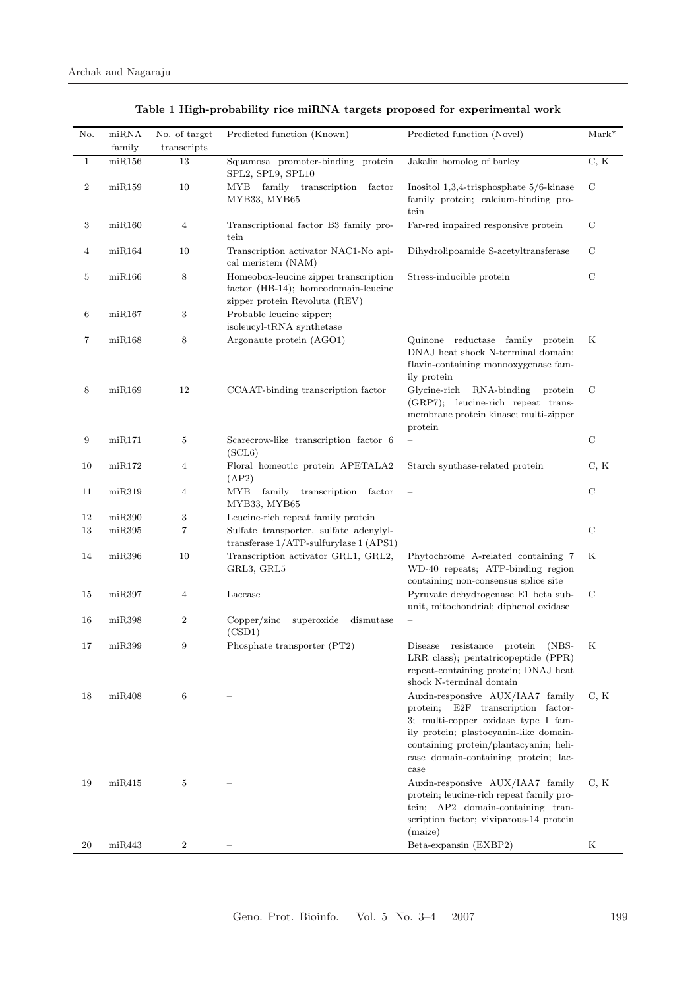| No.          | $m$ iRNA            | No. of target    | Predicted function (Known)                                                                                    | Predicted function (Novel)                                                                                                                                                                                                                        | $Mark^*$      |
|--------------|---------------------|------------------|---------------------------------------------------------------------------------------------------------------|---------------------------------------------------------------------------------------------------------------------------------------------------------------------------------------------------------------------------------------------------|---------------|
|              | family              | transcripts      |                                                                                                               |                                                                                                                                                                                                                                                   |               |
| $\mathbf{1}$ | mIR156              | 13               | Squamosa promoter-binding protein<br>SPL2, SPL9, SPL10                                                        | Jakalin homolog of barley                                                                                                                                                                                                                         | C, K          |
| $\,2$        | mR159               | 10               | MYB family transcription<br>factor<br>MYB33, MYB65                                                            | Inositol $1,3,4$ -trisphosphate $5/6$ -kinase<br>family protein; calcium-binding pro-<br>tein                                                                                                                                                     | $\mathcal{C}$ |
| 3            | m <sub>i</sub> R160 | $\overline{4}$   | Transcriptional factor B3 family pro-<br>tein                                                                 | Far-red impaired responsive protein                                                                                                                                                                                                               | C             |
| 4            | $m$ i $R$ 164       | 10               | Transcription activator NAC1-No api-<br>cal meristem (NAM)                                                    | Dihydrolipoamide S-acetyltransferase                                                                                                                                                                                                              | С             |
| 5            | m <sub>i</sub> R166 | 8                | Homeobox-leucine zipper transcription<br>factor (HB-14); homeodomain-leucine<br>zipper protein Revoluta (REV) | Stress-inducible protein                                                                                                                                                                                                                          | $\mathcal{C}$ |
| 6            | mIR167              | 3                | Probable leucine zipper;<br>isoleucyl-tRNA synthetase                                                         |                                                                                                                                                                                                                                                   |               |
| 7            | $m\n$ iR168         | 8                | Argonaute protein (AGO1)                                                                                      | Quinone reductase family protein<br>DNAJ heat shock N-terminal domain;<br>flavin-containing monooxygenase fam-<br>ily protein                                                                                                                     | Κ             |
| 8            | mR169               | 12               | CCAAT-binding transcription factor                                                                            | RNA-binding<br>Glycine-rich<br>protein<br>(GRP7); leucine-rich repeat trans-<br>membrane protein kinase; multi-zipper<br>protein                                                                                                                  | $\mathcal{C}$ |
| 9            | $\rm{mi}R171$       | 5                | Scarecrow-like transcription factor 6<br>(SCL6)                                                               |                                                                                                                                                                                                                                                   | $\mathcal{C}$ |
| 10           | mR172               | 4                | Floral homeotic protein APETALA2<br>(AP2)                                                                     | Starch synthase-related protein                                                                                                                                                                                                                   | C, K          |
| 11           | m <sub>i</sub> R319 | $\overline{4}$   | MYB family<br>transcription<br>factor<br>MYB33, MYB65                                                         |                                                                                                                                                                                                                                                   | $\mathbf C$   |
| 12           | m <sub>i</sub> R390 | 3                | Leucine-rich repeat family protein                                                                            |                                                                                                                                                                                                                                                   |               |
| 13           | m <sub>i</sub> R395 | 7                | Sulfate transporter, sulfate adenylyl-<br>transferase $1/ATP$ -sulfurylase $1 (APS1)$                         | $\qquad \qquad -$                                                                                                                                                                                                                                 | $\mathbf C$   |
| 14           | m <sub>i</sub> R396 | 10               | Transcription activator GRL1, GRL2,<br>GRL3, GRL5                                                             | Phytochrome A-related containing 7<br>WD-40 repeats; ATP-binding region<br>containing non-consensus splice site                                                                                                                                   | Κ             |
| 15           | $m$ iR397           | $\overline{4}$   | Laccase                                                                                                       | Pyruvate dehydrogenase E1 beta sub-<br>unit, mitochondrial; diphenol oxidase                                                                                                                                                                      | $\mathcal{C}$ |
| 16           | miR398              | $\boldsymbol{2}$ | Copper/zinc<br>superoxide<br>dismutase<br>(CSD1)                                                              |                                                                                                                                                                                                                                                   |               |
| 17           | m <sub>i</sub> R399 | 9                | Phosphate transporter (PT2)                                                                                   | resistance<br>$(NBS-$<br>Disease<br>protein<br>LRR class); pentatricopeptide (PPR)<br>repeat-containing protein; DNAJ heat<br>shock N-terminal domain                                                                                             | Κ             |
| 18           | $\text{mi}R408$     | 6                |                                                                                                               | Auxin-responsive AUX/IAA7 family<br>protein; E2F transcription factor-<br>3; multi-copper oxidase type I fam-<br>ily protein; plastocyanin-like domain-<br>containing protein/plantacyanin; heli-<br>case domain-containing protein; lac-<br>case | C, K          |
| 19           | $m\n th\ddot{R}415$ | 5                |                                                                                                               | Auxin-responsive AUX/IAA7 family<br>protein; leucine-rich repeat family pro-<br>tein; AP2 domain-containing tran-<br>scription factor; viviparous-14 protein<br>(maize)                                                                           | C, K          |
| 20           | $\text{miR}443$     | 2                |                                                                                                               | Beta-expansin (EXBP2)                                                                                                                                                                                                                             | Κ             |

**Table 1 High-probability rice miRNA targets proposed for experimental work**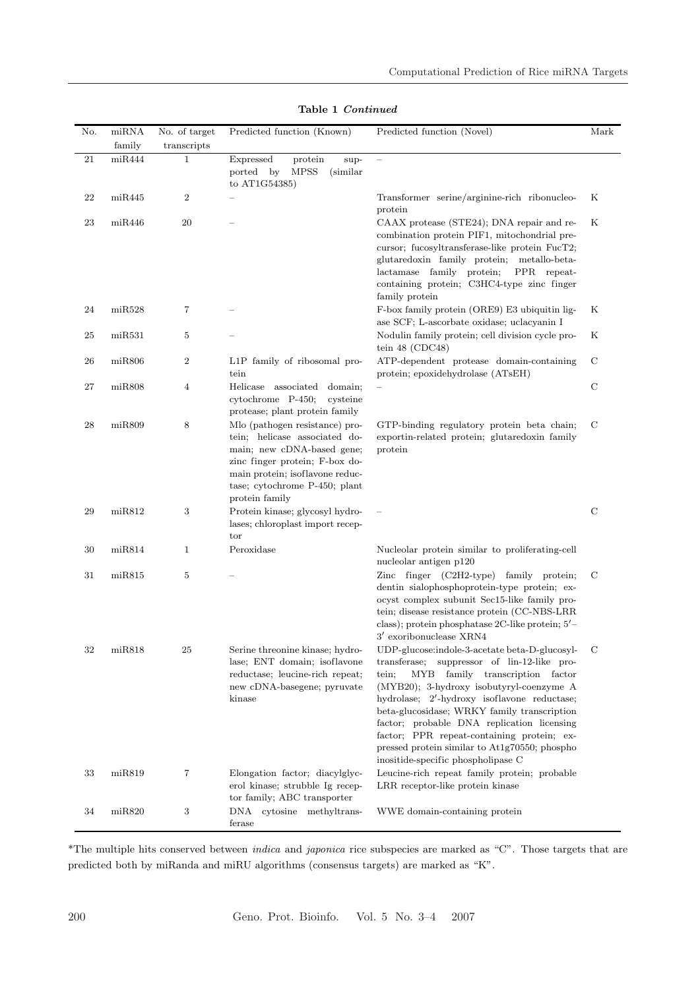| No.      | miRNA<br>family     | No. of target<br>transcripts | Predicted function (Known)                                                                                                                                                                                            | Predicted function (Novel)                                                                                                                                                                                                                                                                                                                                                                                                                                                    | Mark          |
|----------|---------------------|------------------------------|-----------------------------------------------------------------------------------------------------------------------------------------------------------------------------------------------------------------------|-------------------------------------------------------------------------------------------------------------------------------------------------------------------------------------------------------------------------------------------------------------------------------------------------------------------------------------------------------------------------------------------------------------------------------------------------------------------------------|---------------|
| $21\,$   | $m$ iR444           | $\mathbf{1}$                 | Expressed<br>protein<br>sup-<br>ported by<br><b>MPSS</b><br>(similar)<br>to AT1G54385)                                                                                                                                |                                                                                                                                                                                                                                                                                                                                                                                                                                                                               |               |
| $\bf 22$ | $m\n iR445$         | $\boldsymbol{2}$             |                                                                                                                                                                                                                       | Transformer serine/arginine-rich ribonucleo-<br>protein                                                                                                                                                                                                                                                                                                                                                                                                                       | Κ             |
| 23       | $m\n$ iR446         | 20                           |                                                                                                                                                                                                                       | CAAX protease (STE24); DNA repair and re-<br>combination protein PIF1, mitochondrial pre-<br>cursor; fucosyltransferase-like protein FucT2;<br>glutaredoxin family protein; metallo-beta-<br>lactamase family protein;<br>PPR repeat-<br>containing protein; C3HC4-type zinc finger<br>family protein                                                                                                                                                                         | Κ             |
| 24       | $\text{miR}528$     | 7                            |                                                                                                                                                                                                                       | F-box family protein (ORE9) E3 ubiquitin lig-<br>ase SCF; L-ascorbate oxidase; uclacyanin I                                                                                                                                                                                                                                                                                                                                                                                   | Κ             |
| 25       | $m$ iR531           | $\overline{5}$               |                                                                                                                                                                                                                       | Nodulin family protein; cell division cycle pro-<br>tein $48$ (CDC48)                                                                                                                                                                                                                                                                                                                                                                                                         | Κ             |
| 26       | $m$ iR $806$        | $\,2$                        | L1P family of ribosomal pro-<br>tein                                                                                                                                                                                  | ATP-dependent protease domain-containing<br>protein; epoxidehydrolase (ATsEH)                                                                                                                                                                                                                                                                                                                                                                                                 | $\mathcal{C}$ |
| 27       | $m$ iR $808$        | 4                            | Helicase associated<br>domain;<br>cytochrome P-450;<br>cysteine<br>protease; plant protein family                                                                                                                     |                                                                                                                                                                                                                                                                                                                                                                                                                                                                               | $\mathcal{C}$ |
| 28       | $m$ iR $809$        | 8                            | Mlo (pathogen resistance) pro-<br>tein; helicase associated do-<br>main; new cDNA-based gene;<br>zinc finger protein; F-box do-<br>main protein; isoflavone reduc-<br>tase; cytochrome P-450; plant<br>protein family | GTP-binding regulatory protein beta chain;<br>exportin-related protein; glutaredoxin family<br>protein                                                                                                                                                                                                                                                                                                                                                                        | C             |
| 29       | miR812              | 3                            | Protein kinase; glycosyl hydro-<br>lases; chloroplast import recep-<br>tor                                                                                                                                            |                                                                                                                                                                                                                                                                                                                                                                                                                                                                               | $\mathcal{C}$ |
| 30       | $m$ i $R814$        | $\mathbf{1}$                 | Peroxidase                                                                                                                                                                                                            | Nucleolar protein similar to proliferating-cell<br>nucleolar antigen p120                                                                                                                                                                                                                                                                                                                                                                                                     |               |
| 31       | m <sub>i</sub> R815 | 5                            |                                                                                                                                                                                                                       | Zinc finger $(C2H2-type)$ family protein;<br>dentin sialophosphoprotein-type protein; ex-<br>ocyst complex subunit Sec15-like family pro-<br>tein; disease resistance protein (CC-NBS-LRR<br>class); protein phosphatase 2C-like protein; 5'-<br>$3'$ exoribonuclease $XRN4$                                                                                                                                                                                                  | $\mathcal{C}$ |
| 32       | miR818              | 25                           | Serine threonine kinase; hydro-<br>lase; ENT domain; isoflavone<br>reductase; leucine-rich repeat;<br>new cDNA-basegene; pyruvate<br>kinase                                                                           | UDP-glucose:indole-3-acetate beta-D-glucosyl-<br>suppressor of lin-12-like pro-<br>transferase;<br>family transcription factor<br>MҮВ<br>tein:<br>$(MYB20);$ 3-hydroxy isobutyryl-coenzyme A<br>hydrolase; 2'-hydroxy isoflavone reductase;<br>beta-glucosidase; WRKY family transcription<br>factor; probable DNA replication licensing<br>factor; PPR repeat-containing protein; ex-<br>pressed protein similar to At1g70550; phospho<br>inositide-specific phospholipase C | C             |
| 33       | miR819              | 7                            | Elongation factor; diacylglyc-<br>erol kinase; strubble Ig recep-<br>tor family; ABC transporter                                                                                                                      | Leucine-rich repeat family protein; probable<br>LRR receptor-like protein kinase                                                                                                                                                                                                                                                                                                                                                                                              |               |
| 34       | $m$ iR820           | 3                            | DNA cytosine methyltrans-<br>ferase                                                                                                                                                                                   | WWE domain-containing protein                                                                                                                                                                                                                                                                                                                                                                                                                                                 |               |

**Table 1** *Continued*

\*The multiple hits conserved between *indica* and *japonica* rice subspecies are marked as "C". Those targets that are predicted both by miRanda and miRU algorithms (consensus targets) are marked as "K".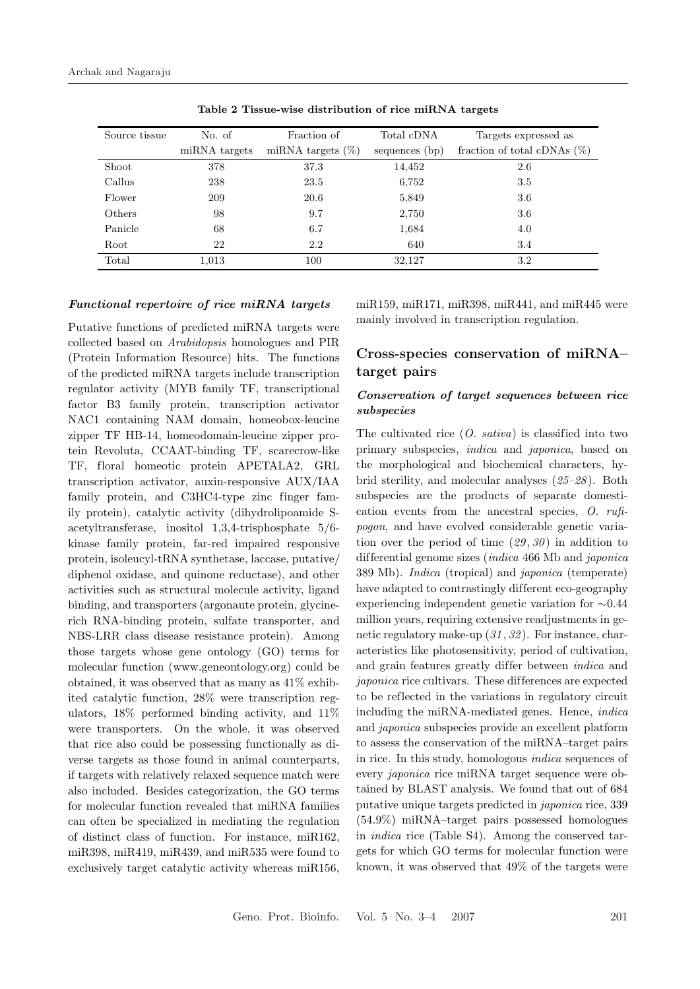| Source tissue | No. of        | Fraction of          | Total cDNA     | Targets expressed as           |
|---------------|---------------|----------------------|----------------|--------------------------------|
|               | miRNA targets | miRNA targets $(\%)$ | sequences (bp) | fraction of total cDNAs $(\%)$ |
| Shoot         | 378           | 37.3                 | 14,452         | 2.6                            |
| Callus        | 238           | 23.5                 | 6,752          | 3.5                            |
| Flower        | 209           | 20.6                 | 5,849          | 3.6                            |
| Others        | 98            | 9.7                  | 2,750          | 3.6                            |
| Panicle       | 68            | 6.7                  | 1,684          | 4.0                            |
| Root          | 22            | 2.2                  | 640            | 3.4                            |
| Total         | 1,013         | 100                  | 32,127         | 3.2                            |

**Table 2 Tissue-wise distribution of rice miRNA targets**

#### *Functional repertoire of rice miRNA targets*

Putative functions of predicted miRNA targets were collected based on *Arabidopsis* homologues and PIR (Protein Information Resource) hits. The functions of the predicted miRNA targets include transcription regulator activity (MYB family TF, transcriptional factor B3 family protein, transcription activator NAC1 containing NAM domain, homeobox-leucine zipper TF HB-14, homeodomain-leucine zipper protein Revoluta, CCAAT-binding TF, scarecrow-like TF, floral homeotic protein APETALA2, GRL transcription activator, auxin-responsive AUX/IAA family protein, and C3HC4-type zinc finger family protein), catalytic activity (dihydrolipoamide Sacetyltransferase, inositol 1,3,4-trisphosphate 5/6 kinase family protein, far-red impaired responsive protein, isoleucyl-tRNA synthetase, laccase, putative/ diphenol oxidase, and quinone reductase), and other activities such as structural molecule activity, ligand binding, and transporters (argonaute protein, glycinerich RNA-binding protein, sulfate transporter, and NBS-LRR class disease resistance protein). Among those targets whose gene ontology (GO) terms for molecular function (www.geneontology.org) could be obtained, it was observed that as many as 41% exhibited catalytic function, 28% were transcription regulators, 18% performed binding activity, and 11% were transporters. On the whole, it was observed that rice also could be possessing functionally as diverse targets as those found in animal counterparts, if targets with relatively relaxed sequence match were also included. Besides categorization, the GO terms for molecular function revealed that miRNA families can often be specialized in mediating the regulation of distinct class of function. For instance, miR162, miR398, miR419, miR439, and miR535 were found to exclusively target catalytic activity whereas miR156,

miR159, miR171, miR398, miR441, and miR445 were mainly involved in transcription regulation.

## **Cross-species conservation of miRNA– target pairs**

#### *Conservation of target sequences between rice subspecies*

The cultivated rice (*O. sativa*) is classified into two primary subspecies, *indica* and *japonica*, based on the morphological and biochemical characters, hybrid sterility, and molecular analyses (*25–28* ). Both subspecies are the products of separate domestication events from the ancestral species, *O. rufipogon*, and have evolved considerable genetic variation over the period of time (*29* , *30* ) in addition to dif ferential genome sizes (*indica* 466 Mb and *japonica* 389 Mb). *Indica* (tropical) and *japonica* (temperate) have adapted to contrastingly different eco-geography experiencing independent genetic variation for ∼0.44 million years, requiring extensive readjustments in genetic regulatory make-up (*31* , *32* ). For instance, characteristics like photosensitivity, period of cultivation, and grain features greatly differ between *indica* and *japonica* rice cultivars. These differences are expected to be reflected in the variations in regulatory circuit including the miRNA-mediated genes. Hence, *indica* and *japonica* subspecies provide an excellent platform to assess the conservation of the miRNA–target pairs in rice. In this study, homologous *indica* sequences of every *japonica* rice miRNA target sequence were obtained by BLAST analysis. We found that out of 684 putative unique targets predicted in *japonica* rice, 339 (54.9%) miRNA–target pairs possessed homologues in *indica* rice (Table S4). Among the conserved targets for which GO terms for molecular function were known, it was observed that 49% of the targets were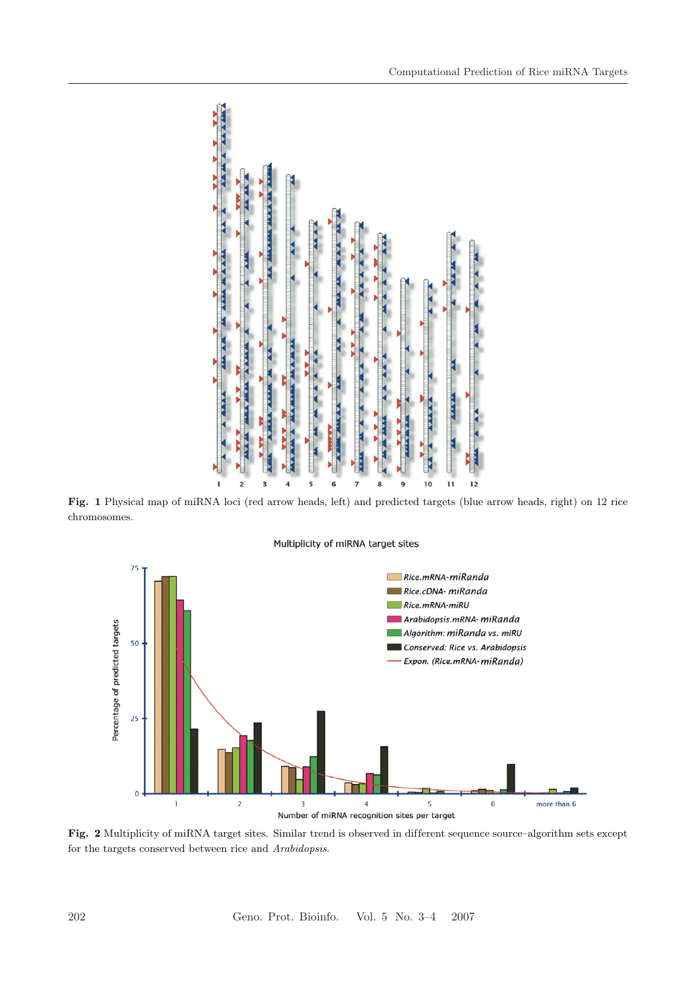

**Fig. 1** Physical map of miRNA loci (red arrow heads, left) and predicted targets (blue arrow heads, right) on 12 rice chromosomes.

Multiplicity of miRNA target sites



**Fig. 2** Multiplicity of miRNA target sites. Similar trend is observed in different sequence source–algorithm sets except for the targets conserved between rice and *Arabidopsis*.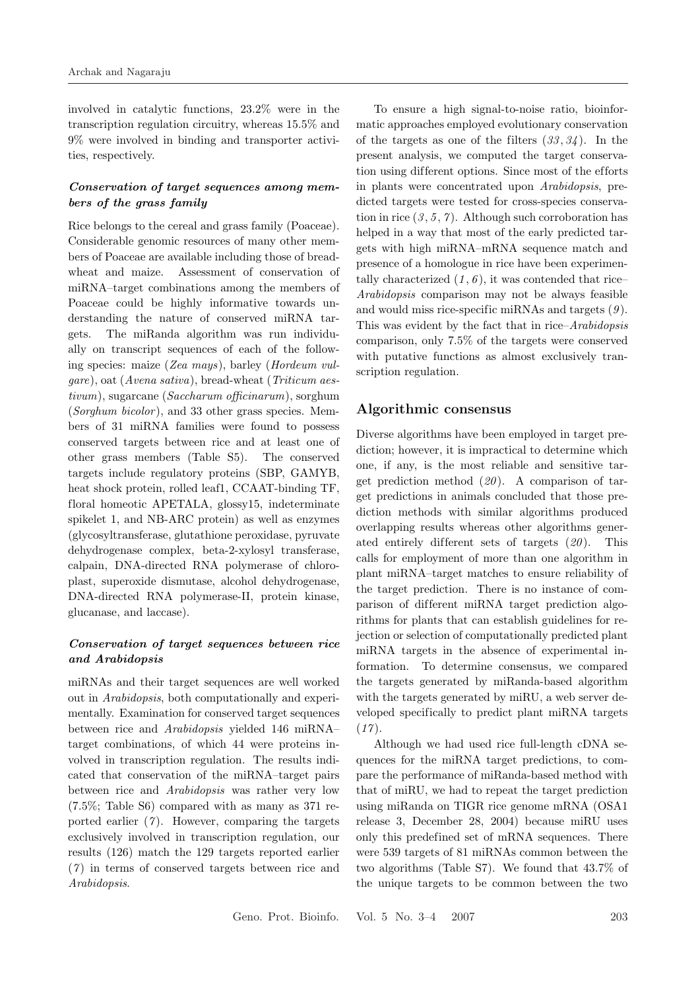involved in catalytic functions, 23.2% were in the transcription regulation circuitry, whereas 15.5% and 9% were involved in binding and transporter activities, respectively.

### *Conservation of target sequences among members of the grass family*

Rice belongs to the cereal and grass family (Poaceae). Considerable genomic resources of many other members of Poaceae are available including those of breadwheat and maize. Assessment of conservation of miRNA–target combinations among the members of Poaceae could be highly informative towards understanding the nature of conserved miRNA targets. The miRanda algorithm was run individually on transcript sequences of each of the following species: maize (*Zea mays*), barley (*Hordeum vulgare*), oat (*Avena sativa*), bread-wheat (*Triticum aestivum*), sugarcane (*Saccharum officinarum*), sorghum (*Sorghum bicolor*), and 33 other grass species. Members of 31 miRNA families were found to possess conserved targets between rice and at least one of other grass members (Table S5). The conserved targets include regulatory proteins (SBP, GAMYB, heat shock protein, rolled leaf1, CCAAT-binding TF, floral homeotic APETALA, glossy15, indeterminate spikelet 1, and NB-ARC protein) as well as enzymes (glycosyltransferase, glutathione peroxidase, pyruvate dehydrogenase complex, beta-2-xylosyl transferase, calpain, DNA-directed RNA polymerase of chloroplast, superoxide dismutase, alcohol dehydrogenase, DNA-directed RNA polymerase-II, protein kinase, glucanase, and laccase).

#### *Conservation of target sequences between rice and Arabidopsis*

miRNAs and their target sequences are well worked out in *Arabidopsis*, both computationally and experimentally. Examination for conserved target sequences between rice and *Arabidopsis* yielded 146 miRNA– target combinations, of which 44 were proteins involved in transcription regulation. The results indicated that conservation of the miRNA–target pairs between rice and *Arabidopsis* was rather very low (7.5%; Table S6) compared with as many as 371 reported earlier (*7* ). However, comparing the targets exclusively involved in transcription regulation, our results (126) match the 129 targets reported earlier (*7* ) in terms of conserved targets between rice and *Arabidopsis*.

To ensure a high signal-to-noise ratio, bioinformatic approaches employed evolutionary conservation of the targets as one of the filters (*33* , *34* ). In the present analysis, we computed the target conservation using different options. Since most of the efforts in plants were concentrated upon *Arabidopsis*, predicted targets were tested for cross-species conservation in rice  $(3, 5, 7)$ . Although such corroboration has helped in a way that most of the early predicted targets with high miRNA–mRNA sequence match and presence of a homologue in rice have been experimentally characterized  $(1, 6)$ , it was contended that rice– *Arabidopsis* comparison may not be always feasible and would miss rice-specific miRNAs and targets (*9* ). This was evident by the fact that in rice–*Arabidopsis* comparison, only 7.5% of the targets were conserved with putative functions as almost exclusively transcription regulation.

#### **Algorithmic consensus**

Diverse algorithms have been employed in target prediction; however, it is impractical to determine which one, if any, is the most reliable and sensitive target prediction method (*20* ). A comparison of target predictions in animals concluded that those prediction methods with similar algorithms produced overlapping results whereas other algorithms generated entirely different sets of targets (20). This calls for employment of more than one algorithm in plant miRNA–target matches to ensure reliability of the target prediction. There is no instance of comparison of different miRNA target prediction algorithms for plants that can establish guidelines for rejection or selection of computationally predicted plant miRNA targets in the absence of experimental information. To determine consensus, we compared the targets generated by miRanda-based algorithm with the targets generated by miRU, a web server developed specifically to predict plant miRNA targets (*17* ).

Although we had used rice full-length cDNA sequences for the miRNA target predictions, to compare the performance of miRanda-based method with that of miRU, we had to repeat the target prediction using miRanda on TIGR rice genome mRNA (OSA1 release 3, December 28, 2004) because miRU uses only this predefined set of mRNA sequences. There were 539 targets of 81 miRNAs common between the two algorithms (Table S7). We found that 43.7% of the unique targets to be common between the two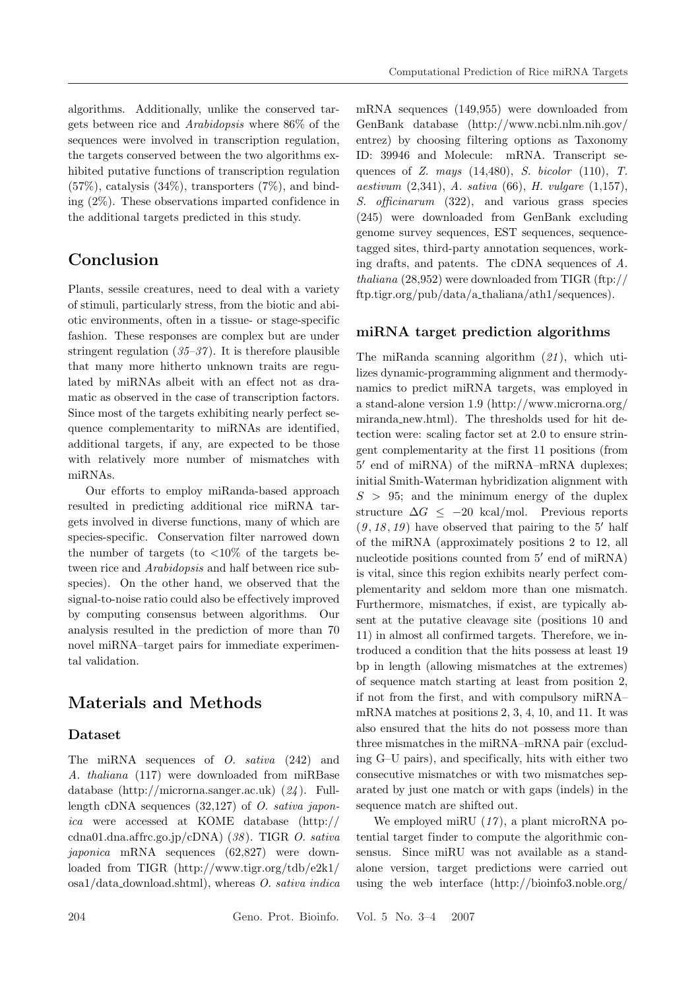algorithms. Additionally, unlike the conserved targets between rice and *Arabidopsis* where 86% of the sequences were involved in transcription regulation, the targets conserved between the two algorithms exhibited putative functions of transcription regulation  $(57\%)$ , catalysis  $(34\%)$ , transporters  $(7\%)$ , and binding (2%). These observations imparted confidence in the additional targets predicted in this study.

# **Conclusion**

Plants, sessile creatures, need to deal with a variety of stimuli, particularly stress, from the biotic and abiotic environments, often in a tissue- or stage-specific fashion. These responses are complex but are under stringent regulation (*35–37* ). It is therefore plausible that many more hitherto unknown traits are regulated by miRNAs albeit with an effect not as dramatic as observed in the case of transcription factors. Since most of the targets exhibiting nearly perfect sequence complementarity to miRNAs are identified, additional targets, if any, are expected to be those with relatively more number of mismatches with miRNAs.

Our efforts to employ miRanda-based approach resulted in predicting additional rice miRNA targets involved in diverse functions, many of which are species-specific. Conservation filter narrowed down the number of targets (to  $<10\%$  of the targets between rice and *Arabidopsis* and half between rice subspecies). On the other hand, we observed that the signal-to-noise ratio could also be effectively improved by computing consensus between algorithms. Our analysis resulted in the prediction of more than 70 novel miRNA–target pairs for immediate experimental validation.

## **Materials and Methods**

### **Dataset**

The miRNA sequences of *O. sativa* (242) and *A. thaliana* (117) were downloaded from miRBase database (http://microrna.sanger.ac.uk) (*24* ). Fulllength cDNA sequences (32,127) of *O. sativa japonica* were accessed at KOME database (http:// cdna01.dna.af frc.go.jp/cDNA) (*38* ). TIGR *O. sativa japonica* mRNA sequences (62,827) were downloaded from TIGR (http://www.tigr.org/tdb/e2k1/ osa1/data download.shtml), whereas *O. sativa indica* mRNA sequences (149,955) were downloaded from GenBank database (http://www.ncbi.nlm.nih.gov/ entrez) by choosing filtering options as Taxonomy ID: 39946 and Molecule: mRNA. Transcript sequences of *Z. mays* (14,480), *S. bicolor* (110), *T. aestivum* (2,341), *A. sativa* (66), *H. vulgare* (1,157), *S. officinarum* (322), and various grass species (245) were downloaded from GenBank excluding genome survey sequences, EST sequences, sequencetagged sites, third-party annotation sequences, working drafts, and patents. The cDNA sequences of *A. thaliana* (28,952) were downloaded from TIGR (ftp:// ftp.tigr.org/pub/data/a thaliana/ath1/sequences).

#### **miRNA target prediction algorithms**

The miRanda scanning algorithm (*21* ), which utilizes dynamic-programming alignment and thermodynamics to predict miRNA targets, was employed in a stand-alone version 1.9 (http://www.microrna.org/ miranda new.html). The thresholds used for hit detection were: scaling factor set at 2.0 to ensure stringent complementarity at the first 11 positions (from 5' end of miRNA) of the miRNA–mRNA duplexes; initial Smith-Waterman hybridization alignment with  $S > 95$ ; and the minimum energy of the duplex structure  $\Delta G \leq -20$  kcal/mol. Previous reports  $(9, 18, 19)$  have observed that pairing to the 5' half of the miRNA (approximately positions 2 to 12, all nucleotide positions counted from  $5'$  end of miRNA) is vital, since this region exhibits nearly perfect complementarity and seldom more than one mismatch. Furthermore, mismatches, if exist, are typically absent at the putative cleavage site (positions 10 and 11) in almost all confirmed targets. Therefore, we introduced a condition that the hits possess at least 19 bp in length (allowing mismatches at the extremes) of sequence match starting at least from position 2, if not from the first, and with compulsory miRNA– mRNA matches at positions 2, 3, 4, 10, and 11. It was also ensured that the hits do not possess more than three mismatches in the miRNA–mRNA pair (excluding G–U pairs), and specifically, hits with either two consecutive mismatches or with two mismatches separated by just one match or with gaps (indels) in the sequence match are shifted out.

We employed miRU  $(17)$ , a plant microRNA potential target finder to compute the algorithmic consensus. Since miRU was not available as a standalone version, target predictions were carried out using the web interface (http://bioinfo3.noble.org/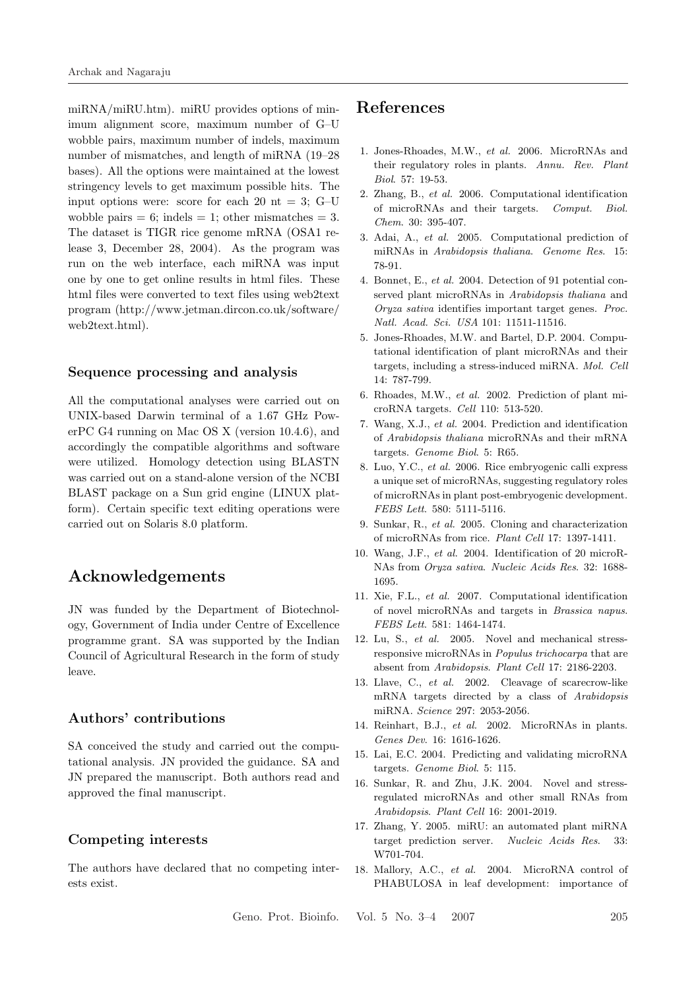miRNA/miRU.htm). miRU provides options of minimum alignment score, maximum number of G–U wobble pairs, maximum number of indels, maximum number of mismatches, and length of miRNA (19–28 bases). All the options were maintained at the lowest stringency levels to get maximum possible hits. The input options were: score for each 20  $nt = 3$ ; G–U wobble pairs  $= 6$ ; indels  $= 1$ ; other mismatches  $= 3$ . The dataset is TIGR rice genome mRNA (OSA1 release 3, December 28, 2004). As the program was run on the web interface, each miRNA was input one by one to get online results in html files. These html files were converted to text files using web2text program (http://www.jetman.dircon.co.uk/software/ web2text.html).

#### **Sequence processing and analysis**

All the computational analyses were carried out on UNIX-based Darwin terminal of a 1.67 GHz PowerPC G4 running on Mac OS X (version 10.4.6), and accordingly the compatible algorithms and software were utilized. Homology detection using BLASTN was carried out on a stand-alone version of the NCBI BLAST package on a Sun grid engine (LINUX platform). Certain specific text editing operations were carried out on Solaris 8.0 platform.

## **Acknowledgements**

JN was funded by the Department of Biotechnology, Government of India under Centre of Excellence programme grant. SA was supported by the Indian Council of Agricultural Research in the form of study leave.

#### **Authors' contributions**

SA conceived the study and carried out the computational analysis. JN provided the guidance. SA and JN prepared the manuscript. Both authors read and approved the final manuscript.

### **Competing interests**

The authors have declared that no competing interests exist.

## **References**

- 1. Jones-Rhoades, M.W., *et al.* 2006. MicroRNAs and their regulatory roles in plants. *Annu. Rev. Plant Biol*. 57: 19-53.
- 2. Zhang, B., *et al.* 2006. Computational identification of microRNAs and their targets. *Comput. Biol. Chem*. 30: 395-407.
- 3. Adai, A., *et al.* 2005. Computational prediction of miRNAs in *Arabidopsis thaliana*. *Genome Res*. 15: 78-91.
- 4. Bonnet, E., *et al.* 2004. Detection of 91 potential conserved plant microRNAs in *Arabidopsis thaliana* and *Oryza sativa* identifies important target genes. *Proc. Natl. Acad. Sci. USA* 101: 11511-11516.
- 5. Jones-Rhoades, M.W. and Bartel, D.P. 2004. Computational identification of plant microRNAs and their targets, including a stress-induced miRNA. *Mol. Cell* 14: 787-799.
- 6. Rhoades, M.W., *et al.* 2002. Prediction of plant microRNA targets. *Cell* 110: 513-520.
- 7. Wang, X.J., *et al.* 2004. Prediction and identification of *Arabidopsis thaliana* microRNAs and their mRNA targets. *Genome Biol*. 5: R65.
- 8. Luo, Y.C., *et al.* 2006. Rice embryogenic calli express a unique set of microRNAs, suggesting regulatory roles of microRNAs in plant post-embryogenic development. *FEBS Lett*. 580: 5111-5116.
- 9. Sunkar, R., *et al.* 2005. Cloning and characterization of microRNAs from rice. *Plant Cell* 17: 1397-1411.
- 10. Wang, J.F., *et al.* 2004. Identification of 20 microR-NAs from *Oryza sativa*. *Nucleic Acids Res*. 32: 1688- 1695.
- 11. Xie, F.L., *et al.* 2007. Computational identification of novel microRNAs and targets in *Brassica napus*. *FEBS Lett*. 581: 1464-1474.
- 12. Lu, S., *et al.* 2005. Novel and mechanical stressresponsive microRNAs in *Populus trichocarpa* that are absent from *Arabidopsis*. *Plant Cell* 17: 2186-2203.
- 13. Llave, C., *et al.* 2002. Cleavage of scarecrow-like mRNA targets directed by a class of *Arabidopsis* miRNA. *Science* 297: 2053-2056.
- 14. Reinhart, B.J., *et al.* 2002. MicroRNAs in plants. *Genes Dev*. 16: 1616-1626.
- 15. Lai, E.C. 2004. Predicting and validating microRNA targets. *Genome Biol*. 5: 115.
- 16. Sunkar, R. and Zhu, J.K. 2004. Novel and stressregulated microRNAs and other small RNAs from *Arabidopsis*. *Plant Cell* 16: 2001-2019.
- 17. Zhang, Y. 2005. miRU: an automated plant miRNA target prediction server. *Nucleic Acids Res*. 33: W701-704.
- 18. Mallory, A.C., *et al.* 2004. MicroRNA control of PHABULOSA in leaf development: importance of

Geno. Prot. Bioinfo. Vol. 5 No. 3–4 2007 205